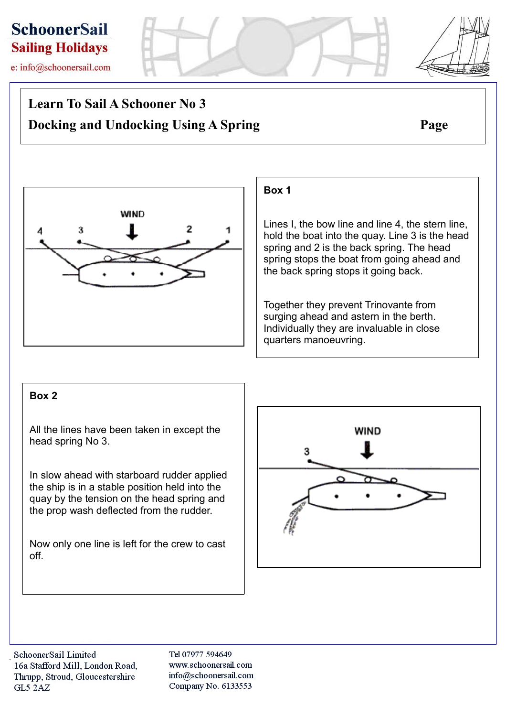

e: info@schoonersail.com

# **Learn To Sail A Schooner No 3 Docking and Undocking Using A Spring Page**



## **Box 1**

Lines I, the bow line and line 4, the stern line, hold the boat into the quay. Line 3 is the head spring and 2 is the back spring. The head spring stops the boat from going ahead and the back spring stops it going back.

Together they prevent Trinovante from surging ahead and astern in the berth. Individually they are invaluable in close quarters manoeuvring.

## **Box 2**

All the lines have been taken in except the head spring No 3.

In slow ahead with starboard rudder applied the ship is in a stable position held into the quay by the tension on the head spring and the prop wash deflected from the rudder.

Now only one line is left for the crew to cast off.



Tel 07977 594649 www.schoonersail.com info@schoonersail.com Company No. 6133553